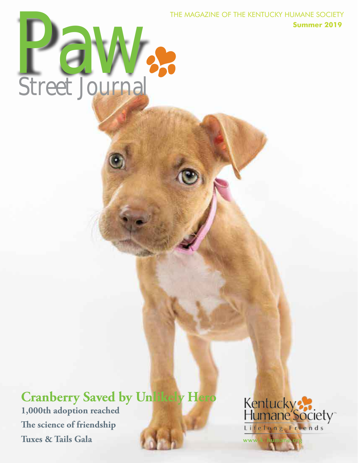### THE MAGAZINE OF THE KENTUCKY HUMANE SOCIETY **Summer 2019**



### **Cranberry Saved by Unlikely Hero 1,000th adoption reached The science of friendship Tuxes & Tails Gala**

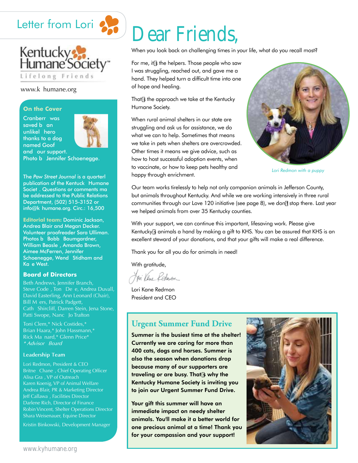



#### www.k humane.org

#### **On the Cover**

Cranberr was saved b an unlikel hero thanks to a dog named Goof



and our support. Photo b Jennifer Schoenegge.

The *Paw Street Journal* is a quarterly publication of the Kentuck Humane Societ . Questions or comments may be addressed to the Public Relations Department, (502) 515-3152 or info@k humane.org. Circ.: 16,500

**Editorial team:** Dominic Jackson, Andrea Blair and Megan Decker. Volunteer proofreader Sara Ulliman. Photos b Bobb Baumgardner, William Beasle, Amanda Brown, Aimee McFerren, Jennifer Schoenegge, Wend Stidham and Ka e West.

#### **Board of Directors**

Beth Andrews, Jennifer Branch, Steve Code, Ton De e, Andrea Duvall, David Easterling, Ann Leonard (Chair), Bill M ers, Patrick Padgett, Cath Shircliff, Darren Stein, Jena Stone, Patti Swope, Nanc Jo Trafton

Toni Clem,\* Nick Costides,\* Brian Haara,\* John Hassmann,\* Rick Ma nard,\* Glenn Price\* *\* Advisor Board* 

#### **Leadership Team**

Lori Redmon, President & CEO Britne Chane, Chief Operating Officer Alisa Gra , VP of Outreach Karen Koenig, VP of Animal Welfare Andrea Blair, PR & Marketing Director Jeff Callawa, Facilities Director Darlene Rich, Director of Finance Robin Vincent, Shelter Operations Director Shara Weisenauer, Equine Director

Kristin Binkowski, Development Manager

# Dear Friends,

When you look back on challenging times in your life, what do you recall most?

For me, it's the helpers. Those people who saw I was struggling, reached out, and gave me a hand. They helped turn a difficult time into one of hope and healing.

That's the approach we take at the Kentucky Humane Society.

When rural animal shelters in our state are struggling and ask us for assistance, we do what we can to help. Sometimes that means we take in pets when shelters are overcrowded. Other times it means we give advice, such as how to host successful adoption events, when to vaccinate, or how to keep pets healthy and happy through enrichment.



*Lori Redmon with a puppy*

Our team works tirelessly to help not only companion animals in Jefferson County, but animals throughout Kentucky. And while we are working intensively in three rural communities through our Love 120 initiative (see page 8), we don't stop there. Last year we helped animals from over 35 Kentucky counties.

With your support, we can continue this important, lifesaving work. Please give Kentucky's animals a hand by making a gift to KHS. You can be assured that KHS is an excellent steward of your donations, and that your gifts will make a real difference.

Thank you for all you do for animals in need!

With gratitude,

Mi Kene Redmon

Lori Kane Redmon President and CEO

### **Urgent Summer Fund Drive**

Summer is the busiest time at the shelter! Currently we are caring for more than 400 cats, dogs and horses. Summer is also the season when donations drop because many of our supporters are traveling or are busy. That's why the Kentucky Humane Society is inviting you to join our Urgent Summer Fund Drive.

Your gift this summer will have an immediate impact on needy shelter animals. You'll make it a better world for one precious animal at a time! Thank you for your compassion and your support!

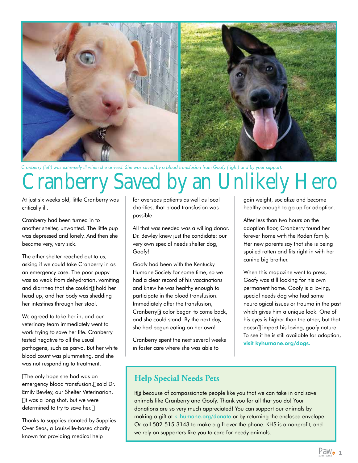

*Cranberry (left) was extremely ill when she arrived. She was saved by a blood transfusion from Goofy (right) and by your support.*

# Cranberry Saved by an Unlikely Hero

At just six weeks old, little Cranberry was critically ill.

Cranberry had been turned in to another shelter, unwanted. The little pup was depressed and lonely. And then she became very, very sick.

The other shelter reached out to us, asking if we could take Cranberry in as an emergency case. The poor puppy was so weak from dehydration, vomiting and diarrhea that she couldn't hold her head up, and her body was shedding her intestines through her stool.

We agreed to take her in, and our veterinary team immediately went to work trying to save her life. Cranberry tested negative to all the usual pathogens, such as parvo. But her white blood count was plummeting, and she was not responding to treatment.

"The only hope she had was an emergency blood transfusion," said Dr. Emily Bewley, our Shelter Veterinarian. "It was a long shot, but we were determined to try to save her."

Thanks to supplies donated by Supplies Over Seas, a Louisville-based charity known for providing medical help

for overseas patients as well as local charities, that blood transfusion was possible.

All that was needed was a willing donor. Dr. Bewley knew just the candidate: our very own special needs shelter dog, Goofy!

Goofy had been with the Kentucky Humane Society for some time, so we had a clear record of his vaccinations and knew he was healthy enough to participate in the blood transfusion. Immediately after the transfusion, Cranberry's color began to come back, and she could stand. By the next day, she had begun eating on her own!

Cranberry spent the next several weeks in foster care where she was able to

gain weight, socialize and become healthy enough to go up for adoption.

After less than two hours on the adoption floor, Cranberry found her forever home with the Roden family. Her new parents say that she is being spoiled rotten and fits right in with her canine big brother.

When this magazine went to press, Goofy was still looking for his own permanent home. Goofy is a loving, special needs dog who had some neurological issues or trauma in the past which gives him a unique look. One of his eyes is higher than the other, but that doesn't impact his loving, goofy nature. To see if he is still available for adoption, visit kyhumane.org/dogs.

### **Help Special Needs Pets**

It's because of compassionate people like you that we can take in and save animals like Cranberry and Goofy. Thank you for all that you do! Your donations are so very much appreciated! You can support our animals by making a gift at k humane.org/donate or by returning the enclosed envelope. Or call 502-515-3143 to make a gift over the phone. KHS is a nonprofit, and we rely on supporters like you to care for needy animals.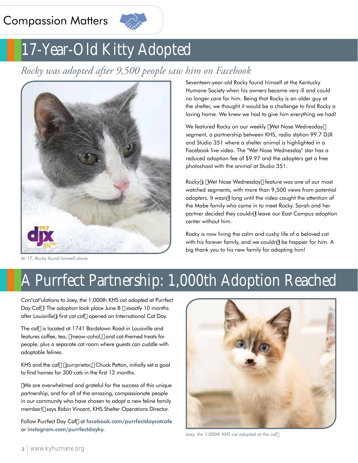### Compassion Matters



## 17-Year-Old Kitty Adopted

*Rocky was adopted after 9,500 people saw him on Facebook* 



*At 17, Rocky found himself alone*

Seventeen-year-old Rocky found himself at the Kentucky Humane Society when his owners became very ill and could no longer care for him. Being that Rocky is an older guy at the shelter, we thought it would be a challenge to find Rocky a loving home. We knew we had to give him everything we had!

We featured Rocky on our weekly "Wet Nose Wednesday" segment, a partnership between KHS, radio station 99.7 DJX and Studio 351 where a shelter animal is highlighted in a Facebook live video. The "Wet Nose Wednesday" star has a reduced adoption fee of \$9.97 and the adopters get a free photoshoot with the animal at Studio 351.

Rocky's "Wet Nose Wednesday" feature was one of our most watched segments, with more than 9,500 views from potential adopters. It wasn't long until the video caught the attention of the Mabe family who came in to meet Rocky. Sarah and her partner decided they couldn't leave our East Campus adoption center without him.

Rocky is now living the calm and cushy life of a beloved cat with his forever family, and we couldn't be happier for him. A big thank you to his new family for adopting him!

## A Purrfect Partnership: 1,000th Adoption Reached

Con"cat"ulations to Joey, the 1,000th KHS cat adopted at Purrfect Day Café! The adoption took place June 8 – exactly 10 months after Louisville's first cat café opened on International Cat Day.

The café is located at 1741 Bardstown Road in Louisville and features coffee, tea, "meow-cohol," and cat-themed treats for people, plus a separate cat room where guests can cuddle with adoptable felines.

KHS and the café "purrprietor," Chuck Patton, initially set a goal to find homes for 300 cats in the first 12 months.

"We are overwhelmed and grateful for the success of this unique partnership, and for all of the amazing, compassionate people in our community who have chosen to adopt a new feline family member!" says Robin Vincent, KHS Shelter Operations Director.

Follow Purrfect Day Café at facebook.com/purrfectdaycatcafe or instagram.com/purrfectdayky.



*Joey, the 1,000th KHS cat adopted at the café*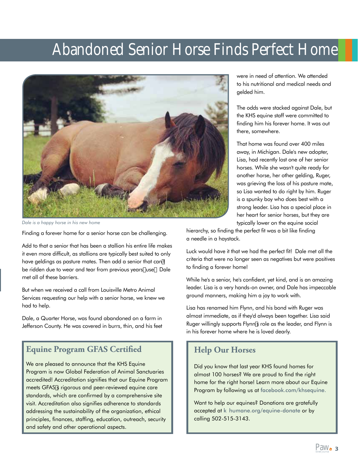### Abandoned Senior Horse Finds Perfect Home



*Dale is a happy horse in his new home*

Finding a forever home for a senior horse can be challenging.

Add to that a senior that has been a stallion his entire life makes it even more difficult, as stallions are typically best suited to only have geldings as pasture mates. Then add a senior that can't be ridden due to wear and tear from previous years' use…Dale met all of these barriers.

But when we received a call from Louisville Metro Animal Services requesting our help with a senior horse, we knew we had to help.

Dale, a Quarter Horse, was found abandoned on a farm in Jefferson County. He was covered in burrs, thin, and his feet

### **Equine Program GFAS Certified**

We are pleased to announce that the KHS Equine Program is now Global Federation of Animal Sanctuaries accredited! Accreditation signifies that our Equine Program meets GFAS's rigorous and peer-reviewed equine care standards, which are confirmed by a comprehensive site visit. Accreditation also signifies adherence to standards addressing the sustainability of the organization, ethical principles, finances, staffing, education, outreach, security and safety and other operational aspects.

were in need of attention. We attended to his nutritional and medical needs and gelded him.

The odds were stacked against Dale, but the KHS equine staff were committed to finding him his forever home. It was out there, somewhere.

That home was found over 400 miles away, in Michigan. Dale's new adopter, Lisa, had recently lost one of her senior horses. While she wasn't quite ready for another horse, her other gelding, Ruger, was grieving the loss of his pasture mate, so Lisa wanted to do right by him. Ruger is a spunky boy who does best with a strong leader. Lisa has a special place in her heart for senior horses, but they are typically lower on the equine social

hierarchy, so finding the perfect fit was a bit like finding a needle in a haystack.

Luck would have it that we had the perfect fit! Dale met all the criteria that were no longer seen as negatives but were positives to finding a forever home!

While he's a senior, he's confident, yet kind, and is an amazing leader. Lisa is a very hands-on owner, and Dale has impeccable ground manners, making him a joy to work with.

Lisa has renamed him Flynn, and his bond with Ruger was almost immediate, as if they'd always been together. Lisa said Ruger willingly supports Flynn's role as the leader, and Flynn is in his forever home where he is loved dearly.

### **Help Our Horses**

Did you know that last year KHS found homes for almost 100 horses? We are proud to find the right home for the right horse! Learn more about our Equine Program by following us at facebook.com/khsequine.

Want to help our equines? Donations are gratefully accepted at k humane.org/equine-donate or by calling 502-515-3143.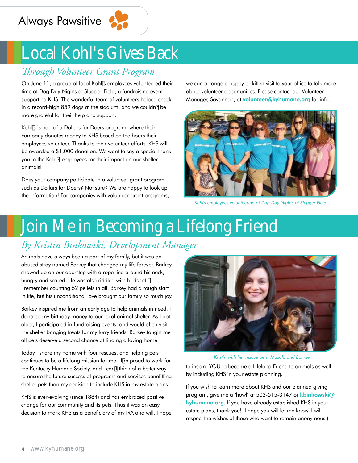

## Local Kohl's Gives Back

### *Through Volunteer Grant Program*

On June 11, a group of local Kohl's employees volunteered their time at Dog Day Nights at Slugger Field, a fundraising event supporting KHS. The wonderful team of volunteers helped check in a record-high 859 dogs at the stadium, and we couldn't be more grateful for their help and support.

Kohl's is part of a Dollars for Doers program, where their company donates money to KHS based on the hours their employees volunteer. Thanks to their volunteer efforts, KHS will be awarded a \$1,000 donation. We want to say a special thank you to the Kohl's employees for their impact on our shelter animals!

Does your company participate in a volunteer grant program such as Dollars for Doers? Not sure? We are happy to look up the information! For companies with volunteer grant programs, we can arrange a puppy or kitten visit to your office to talk more about volunteer opportunities. Please contact our Volunteer Manager, Savannah, at volunteer@kyhumane.org for info.



*Kohl's employees volunteering at Dog Day Nights at Slugger Field*

## Join Me in Becoming a Lifelong Friend

### *By Kristin Binkowski, Development Manager*

Animals have always been a part of my family, but it was an abused stray named Barkey that changed my life forever. Barkey showed up on our doorstep with a rope tied around his neck, hungry and scared. He was also riddled with birdshot – I remember counting 52 pellets in all. Barkey had a rough start in life, but his unconditional love brought our family so much joy.

Barkey inspired me from an early age to help animals in need. I donated my birthday money to our local animal shelter. As I got older, I participated in fundraising events, and would often visit the shelter bringing treats for my furry friends. Barkey taught me all pets deserve a second chance at finding a loving home.

Today I share my home with four rescues, and helping pets continues to be a lifelong mission for me. I'm proud to work for the Kentucky Humane Society, and I can't think of a better way to ensure the future success of programs and services benefitting shelter pets than my decision to include KHS in my estate plans.

KHS is ever-evolving (since 1884) and has embraced positive change for our community and its pets. Thus it was an easy decision to mark KHS as a beneficiary of my IRA and will. I hope



*Kristin with her rescue pets, Masala and Bonnie*

to inspire YOU to become a Lifelong Friend to animals as well by including KHS in your estate planning.

If you wish to learn more about KHS and our planned giving program, give me a "howl" at 502-515-3147 or kbinkowski@ kyhumane.org. If you have already established KHS in your estate plans, thank you! (I hope you will let me know. I will respect the wishes of those who want to remain anonymous.)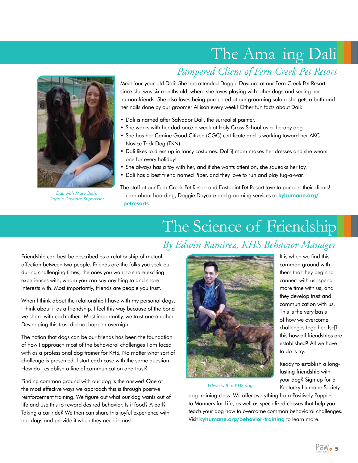### The Ama ing Dali

*Dali with Mary Beth, Doggie Daycare Supervisor*

### *Pampered Client of Fern Creek Pet Resort*

Meet four-year-old Dali! She has attended Doggie Daycare at our Fern Creek Pet Resort since she was six months old, where she loves playing with other dogs and seeing her human friends. She also loves being pampered at our grooming salon; she gets a bath and her nails done by our groomer Allison every week! Other fun facts about Dali:

- Dali is named after Salvador Dali, the surrealist painter.
- She works with her dad once a week at Holy Cross School as a therapy dog.
- She has her Canine Good Citizen (CGC) certificate and is working toward her AKC Novice Trick Dog (TKN).
- Dali likes to dress up in fancy costumes. Dali's mom makes her dresses and she wears one for every holiday!
- She always has a toy with her, and if she wants attention, she squeaks her toy.
- Dali has a best friend named Piper, and they love to run and play tug-a-war.

The staff at our Fern Creek Pet Resort and Eastpoint Pet Resort love to pamper their clients! Learn about boarding, Doggie Daycare and grooming services at kyhumane.org/ petresorts.

# The Science of Friendship

*By Edwin Ramirez, KHS Behavior Manager*

Friendship can best be described as a relationship of mutual affection between two people. Friends are the folks you seek out during challenging times, the ones you want to share exciting experiences with, whom you can say anything to and share interests with. Most importantly, friends are people you trust.

When I think about the relationship I have with my personal dogs, I think about it as a friendship. I feel this way because of the bond we share with each other. Most importantly, we trust one another. Developing this trust did not happen overnight.

The notion that dogs can be our friends has been the foundation of how I approach most of the behavioral challenges I am faced with as a professional dog trainer for KHS. No matter what sort of challenge is presented, I start each case with the same question: How do I establish a line of communication and trust?

Finding common ground with our dog is the answer! One of the most effective ways we approach this is through positive reinforcement training. We figure out what our dog wants out of life and use this to reward desired behavior. Is it food? A ball? Taking a car ride? We then can share this joyful experience with our dogs and provide it when they need it most.



It is when we find this common ground with them that they begin to connect with us, spend more time with us, and they develop trust and communication with us. This is the very basis of how we overcome challenges together. Isn't this how all friendships are established? All we have to do is try.

Ready to establish a longlasting friendship with your dog? Sign up for a Kentucky Humane Society

*Edwin with a KHS dog* 

dog training class. We offer everything from Positively Puppies to Manners for Life, as well as specialized classes that help you teach your dog how to overcome common behavioral challenges. Visit kyhumane.org/behavior-training to learn more.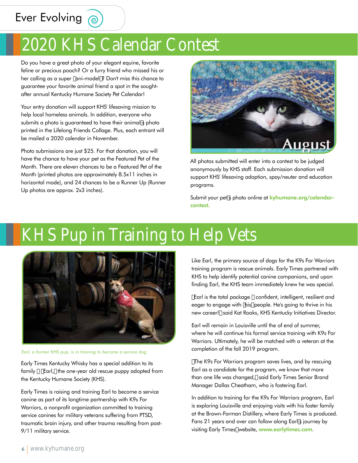### Ever Evolving @

## 2020 KHS Calendar Contest

Do you have a great photo of your elegant equine, favorite feline or precious pooch? Or a furry friend who missed his or her calling as a super "ani-model"? Don't miss this chance to guarantee your favorite animal friend a spot in the soughtafter annual Kentucky Humane Society Pet Calendar!

Your entry donation will support KHS' lifesaving mission to help local homeless animals. In addition, everyone who submits a photo is guaranteed to have their animal's photo printed in the Lifelong Friends Collage. Plus, each entrant will be mailed a 2020 calendar in November.

Photo submissions are just \$25. For that donation, you will have the chance to have your pet as the Featured Pet of the Month. There are eleven chances to be a Featured Pet of the Month (printed photos are approximately 8.5x11 inches in horizontal mode), and 24 chances to be a Runner Up (Runner Up photos are approx. 2x3 inches).



All photos submitted will enter into a contest to be judged anonymously by KHS staff. Each submission donation will support KHS' lifesaving adoption, spay/neuter and education programs.

Submit your pet's photo online at **kyhumane.org/calendar**contest.

### KHS Pup in Training to Help Vets



*Earl, a former KHS pup, is in training to become a service dog*

Early Times Kentucky Whisky has a special addition to its family – "Earl," the one-year old rescue puppy adopted from the Kentucky Humane Society (KHS).

Early Times is raising and training Earl to become a service canine as part of its longtime partnership with K9s For Warriors, a nonprofit organization committed to training service canines for military veterans suffering from PTSD, traumatic brain injury, and other trauma resulting from post-9/11 military service.

Like Earl, the primary source of dogs for the K9s For Warriors training program is rescue animals. Early Times partnered with KHS to help identify potential canine companions, and upon finding Earl, the KHS team immediately knew he was special.

"Earl is the total package – confident, intelligent, resilient and eager to engage with 'his' people. He's going to thrive in his new career!" said Kat Rooks, KHS Kentucky Initiatives Director.

Earl will remain in Louisville until the of end of summer, where he will continue his formal service training with K9s For Warriors. Ultimately, he will be matched with a veteran at the completion of the fall 2019 program.

"The K9s For Warriors program saves lives, and by rescuing Earl as a candidate for the program, we know that more than one life was changed," said Early Times Senior Brand Manager Dallas Cheatham, who is fostering Earl.

In addition to training for the K9s For Warriors program, Earl is exploring Louisville and enjoying visits with his foster family at the Brown-Forman Distillery, where Early Times is produced. Fans 21 years and over can follow along Earl's journey by visiting Early Times' website, www.earlytimes.com.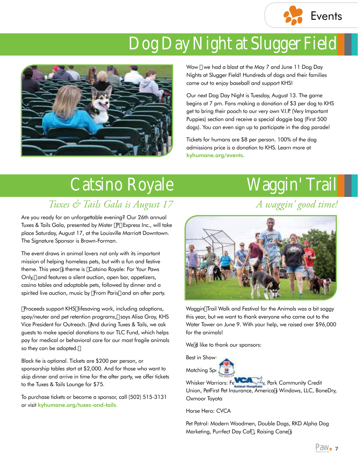

## Dog Day Night at Slugger Field



Wow – we had a blast at the May 7 and June 11 Dog Day Nights at Slugger Field! Hundreds of dogs and their families came out to enjoy baseball and support KHS!

Our next Dog Day Night is Tuesday, August 13. The game begins at 7 pm. Fans making a donation of \$3 per dog to KHS get to bring their pooch to our very own V.I.P. (Very Important Puppies) section and receive a special doggie bag (First 500 dogs). You can even sign up to participate in the dog parade!

Tickets for humans are \$8 per person. 100% of the dog admissions price is a donation to KHS. Learn more at kyhumane.org/events.

# Catsino Royale

### *Tuxes & Tails Gala is August 17 A waggin' good time!*

Are you ready for an unforgettable evening? Our 26th annual Tuxes & Tails Gala, presented by Mister "P" Express Inc., will take place Saturday, August 17, at the Louisville Marriott Downtown. The Signature Sponsor is Brown-Forman.

The event draws in animal lovers not only with its important mission of helping homeless pets, but with a fun and festive theme. This year's theme is "Catsino Royale: For Your Paws Only," and features a silent auction, open bar, appetizers, casino tables and adoptable pets, followed by dinner and a spirited live auction, music by "From Paris" and an after party.

"Proceeds support KHS' lifesaving work, including adoptions, spay/neuter and pet retention programs," says Alisa Gray, KHS Vice President for Outreach. "And during Tuxes & Tails, we ask guests to make special donations to our TLC Fund, which helps pay for medical or behavioral care for our most fragile animals so they can be adopted."

Black tie is optional. Tickets are \$200 per person, or sponsorship tables start at \$2,000. And for those who want to skip dinner and arrive in time for the after party, we offer tickets to the Tuxes & Tails Lounge for \$75.

To purchase tickets or become a sponsor, call (502) 515-3131 or visit kyhumane.org/tuxes-and-tails.

## Waggin' Trail



Waggin' Trail Walk and Festival for the Animals was a bit soggy this year, but we want to thank everyone who came out to the Water Tower on June 9. With your help, we raised over \$96,000 for the animals!

We'd like to thank our sponsors:

Best in Show:



Whisker Warriors: Fe Community Credit Union, PetFirst Pet Insurance, America's Windows, LLC, BoneDry, Oxmoor Toyota

Horse Hero: CVCA

Pet Patrol: Modern Woodmen, Double Dogs, RKD Alpha Dog Marketing, Purrfect Day Café, Raising Cane's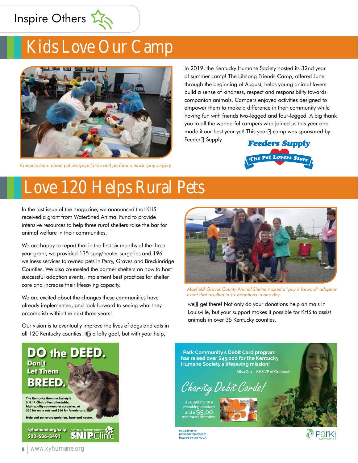### Inspire Others

## Kids Love Our Camp



*Campers learn about pet overpopulation and perform a mock spay surgery*

In 2019, the Kentucky Humane Society hosted its 32nd year of summer camp! The Lifelong Friends Camp, offered June through the beginning of August, helps young animal lovers build a sense of kindness, respect and responsibility towards companion animals. Campers enjoyed activities designed to empower them to make a difference in their community while having fun with friends two-legged and four-legged. A big thank you to all the wonderful campers who joined us this year and made it our best year yet! This year's camp was sponsored by Feeder's Supply.

**Feeders Supply** The Pet Lovers Store

## Love 120 Helps Rural Pets

In the last issue of the magazine, we announced that KHS received a grant from WaterShed Animal Fund to provide intensive resources to help three rural shelters raise the bar for animal welfare in their communities.

We are happy to report that in the first six months of the threeyear grant, we provided 135 spay/neuter surgeries and 196 wellness services to owned pets in Perry, Graves and Breckinridge Counties. We also counseled the partner shelters on how to host successful adoption events, implement best practices for shelter care and increase their lifesaving capacity.

We are excited about the changes these communities have already implemented, and look forward to seeing what they accomplish within the next three years!

Our vision is to eventually improve the lives of dogs and cats in all 120 Kentucky counties. It's a lofty goal, but with your help,



*Mayfield-Graves County Animal Shelter hosted a "pay it forward" adoption event that resulted in six adoptions in one day.* 

we'll get there! Not only do your donations help animals in Louisville, but your support makes it possible for KHS to assist animals in over 35 Kentucky counties.





**800.626.2870 parkcommunity.com Insured by the NCUA**

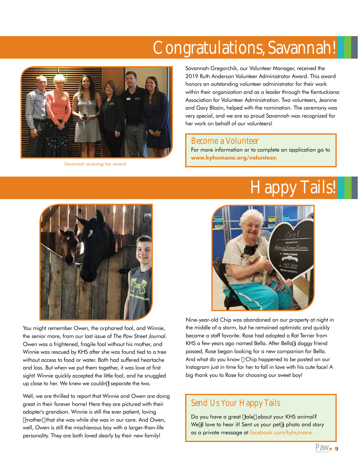## Congratulations, Savannah!



*Savannah receiving her award* 

Savannah Gregorchik, our Volunteer Manager, received the 2019 Ruth Anderson Volunteer Administrator Award. This award honors an outstanding volunteer administrator for their work within their organization and as a leader through the Kentuckiana Association for Volunteer Administration. Two volunteers, Jeanine and Gary Blazin, helped with the nomination. The ceremony was very special, and we are so proud Savannah was recognized for her work on behalf of our volunteers!

#### Become a Volunteer

For more information or to complete an application go to **www.kyhumane.org/volunteer.**

## Happy Tails!



You might remember Owen, the orphaned foal, and Winnie, the senior mare, from our last issue of *The Paw Street Journal*. Owen was a frightened, fragile foal without his mother, and Winnie was rescued by KHS after she was found tied to a tree without access to food or water. Both had suffered heartache and loss. But when we put them together, it was love at first sight! Winnie quickly accepted the little foal, and he snuggled up close to her. We knew we couldn't separate the two.

Well, we are thrilled to report that Winnie and Owen are doing great in their forever home! Here they are pictured with their adopter's grandson. Winnie is still the ever patient, loving "mother" that she was while she was in our care. And Owen, well, Owen is still the mischievous boy with a larger-than-life personality. They are both loved dearly by their new family!



Nine-year-old Chip was abandoned on our property at night in the middle of a storm, but he remained optimistic and quickly became a staff favorite. Rose had adopted a Rat Terrier from KHS a few years ago named Bella. After Bella's doggy friend passed, Rose began looking for a new companion for Bella. And what do you know – Chip happened to be posted on our Instagram just in time for her to fall in love with his cute face! A big thank you to Rose for choosing our sweet boy!

### Send Us Your Happy Tails

Do you have a great "tale" about your KHS animal? We'd love to hear it! Sent us your pet's photo and story as a private message at facebook.com/kyhumane.